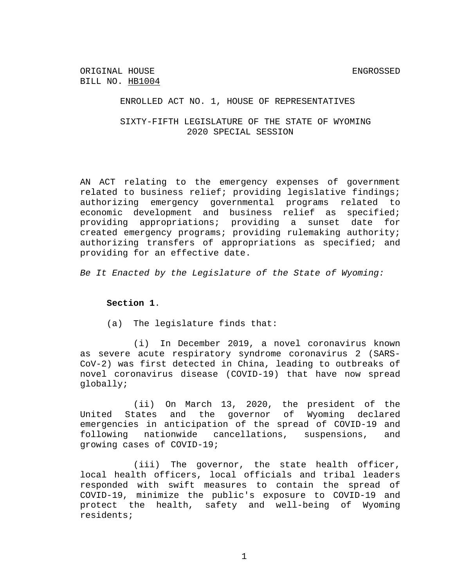ENROLLED ACT NO. 1, HOUSE OF REPRESENTATIVES

SIXTY-FIFTH LEGISLATURE OF THE STATE OF WYOMING 2020 SPECIAL SESSION

AN ACT relating to the emergency expenses of government related to business relief; providing legislative findings; authorizing emergency governmental programs related to economic development and business relief as specified; providing appropriations; providing a sunset date for created emergency programs; providing rulemaking authority; authorizing transfers of appropriations as specified; and providing for an effective date.

*Be It Enacted by the Legislature of the State of Wyoming:*

**Section 1**.

(a) The legislature finds that:

(i) In December 2019, a novel coronavirus known as severe acute respiratory syndrome coronavirus 2 (SARS-CoV-2) was first detected in China, leading to outbreaks of novel coronavirus disease (COVID-19) that have now spread globally;

(ii) On March 13, 2020, the president of the United States and the governor of Wyoming declared emergencies in anticipation of the spread of COVID-19 and following nationwide cancellations, suspensions, and growing cases of COVID-19;

(iii) The governor, the state health officer, local health officers, local officials and tribal leaders responded with swift measures to contain the spread of COVID-19, minimize the public's exposure to COVID-19 and protect the health, safety and well-being of Wyoming residents;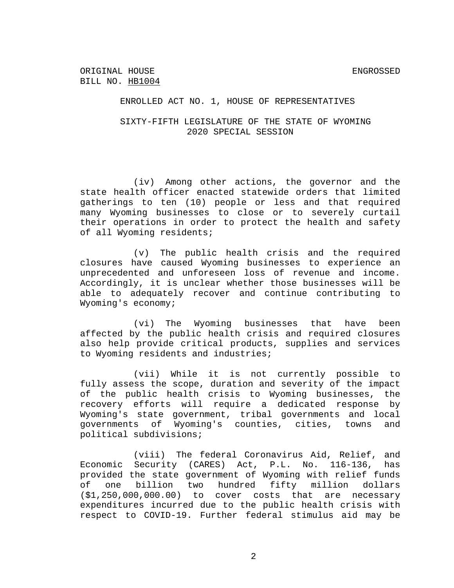#### ENROLLED ACT NO. 1, HOUSE OF REPRESENTATIVES

## SIXTY-FIFTH LEGISLATURE OF THE STATE OF WYOMING 2020 SPECIAL SESSION

(iv) Among other actions, the governor and the state health officer enacted statewide orders that limited gatherings to ten (10) people or less and that required many Wyoming businesses to close or to severely curtail their operations in order to protect the health and safety of all Wyoming residents;

(v) The public health crisis and the required closures have caused Wyoming businesses to experience an unprecedented and unforeseen loss of revenue and income. Accordingly, it is unclear whether those businesses will be able to adequately recover and continue contributing to Wyoming's economy;

(vi) The Wyoming businesses that have been affected by the public health crisis and required closures also help provide critical products, supplies and services to Wyoming residents and industries;

(vii) While it is not currently possible to fully assess the scope, duration and severity of the impact of the public health crisis to Wyoming businesses, the recovery efforts will require a dedicated response by Wyoming's state government, tribal governments and local governments of Wyoming's counties, cities, towns and political subdivisions;

(viii) The federal Coronavirus Aid, Relief, and Economic Security (CARES) Act, P.L. No. 116-136, has provided the state government of Wyoming with relief funds of one billion two hundred fifty million dollars (\$1,250,000,000.00) to cover costs that are necessary expenditures incurred due to the public health crisis with respect to COVID-19. Further federal stimulus aid may be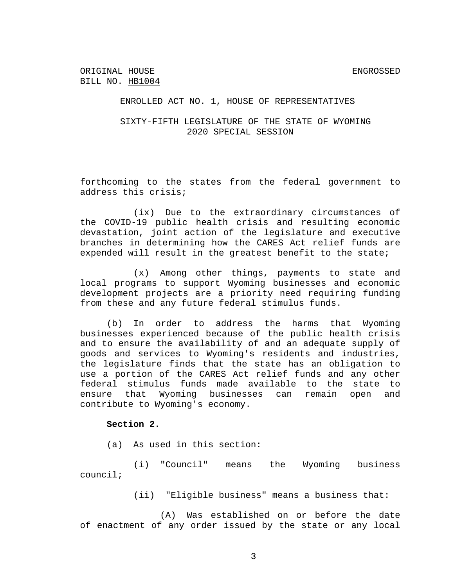## SIXTY-FIFTH LEGISLATURE OF THE STATE OF WYOMING 2020 SPECIAL SESSION

forthcoming to the states from the federal government to address this crisis;

(ix) Due to the extraordinary circumstances of the COVID-19 public health crisis and resulting economic devastation, joint action of the legislature and executive branches in determining how the CARES Act relief funds are expended will result in the greatest benefit to the state;

(x) Among other things, payments to state and local programs to support Wyoming businesses and economic development projects are a priority need requiring funding from these and any future federal stimulus funds.

(b) In order to address the harms that Wyoming businesses experienced because of the public health crisis and to ensure the availability of and an adequate supply of goods and services to Wyoming's residents and industries, the legislature finds that the state has an obligation to use a portion of the CARES Act relief funds and any other federal stimulus funds made available to the state to ensure that Wyoming businesses can remain open and contribute to Wyoming's economy.

## **Section 2.**

(a) As used in this section:

(i) "Council" means the Wyoming business council;

(ii) "Eligible business" means a business that:

(A) Was established on or before the date of enactment of any order issued by the state or any local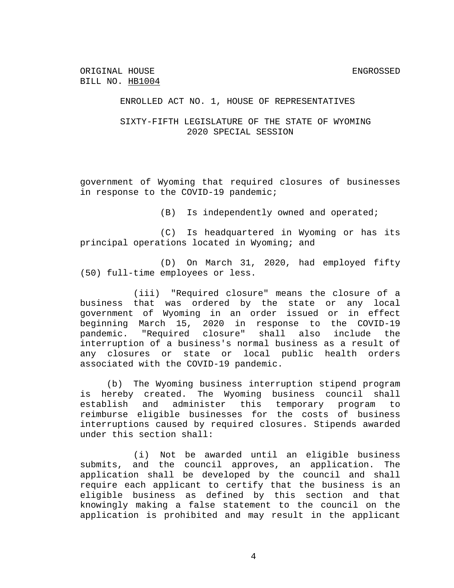#### ENROLLED ACT NO. 1, HOUSE OF REPRESENTATIVES

# SIXTY-FIFTH LEGISLATURE OF THE STATE OF WYOMING 2020 SPECIAL SESSION

government of Wyoming that required closures of businesses in response to the COVID-19 pandemic;

(B) Is independently owned and operated;

(C) Is headquartered in Wyoming or has its principal operations located in Wyoming; and

(D) On March 31, 2020, had employed fifty (50) full-time employees or less.

(iii) "Required closure" means the closure of a business that was ordered by the state or any local government of Wyoming in an order issued or in effect beginning March 15, 2020 in response to the COVID-19 pandemic. "Required closure" shall also include the interruption of a business's normal business as a result of any closures or state or local public health orders associated with the COVID-19 pandemic.

(b) The Wyoming business interruption stipend program is hereby created. The Wyoming business council shall establish and administer this temporary program to reimburse eligible businesses for the costs of business interruptions caused by required closures. Stipends awarded under this section shall:

(i) Not be awarded until an eligible business submits, and the council approves, an application. The application shall be developed by the council and shall require each applicant to certify that the business is an eligible business as defined by this section and that knowingly making a false statement to the council on the application is prohibited and may result in the applicant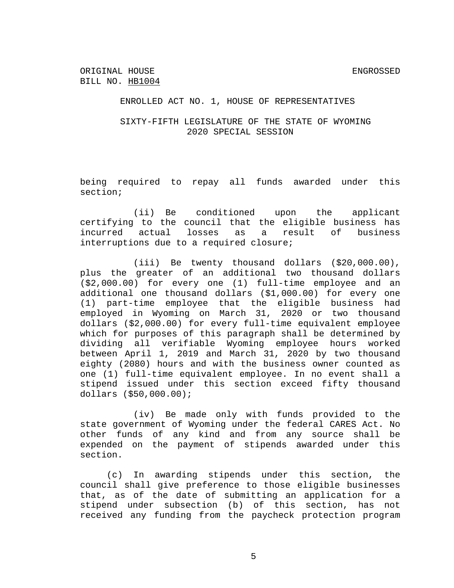# SIXTY-FIFTH LEGISLATURE OF THE STATE OF WYOMING 2020 SPECIAL SESSION

being required to repay all funds awarded under this section;

(ii) Be conditioned upon the applicant certifying to the council that the eligible business has incurred actual losses as a result of business interruptions due to a required closure;

(iii) Be twenty thousand dollars (\$20,000.00), plus the greater of an additional two thousand dollars (\$2,000.00) for every one (1) full-time employee and an additional one thousand dollars (\$1,000.00) for every one (1) part-time employee that the eligible business had employed in Wyoming on March 31, 2020 or two thousand dollars (\$2,000.00) for every full-time equivalent employee which for purposes of this paragraph shall be determined by dividing all verifiable Wyoming employee hours worked between April 1, 2019 and March 31, 2020 by two thousand eighty (2080) hours and with the business owner counted as one (1) full-time equivalent employee. In no event shall a stipend issued under this section exceed fifty thousand dollars (\$50,000.00);

(iv) Be made only with funds provided to the state government of Wyoming under the federal CARES Act. No other funds of any kind and from any source shall be expended on the payment of stipends awarded under this section.

(c) In awarding stipends under this section, the council shall give preference to those eligible businesses that, as of the date of submitting an application for a stipend under subsection (b) of this section, has not received any funding from the paycheck protection program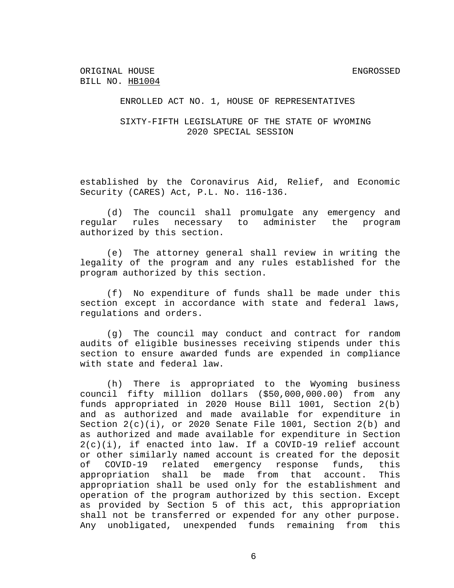# SIXTY-FIFTH LEGISLATURE OF THE STATE OF WYOMING 2020 SPECIAL SESSION

established by the Coronavirus Aid, Relief, and Economic Security (CARES) Act, P.L. No. 116-136.

(d) The council shall promulgate any emergency and regular rules necessary to administer the program authorized by this section.

(e) The attorney general shall review in writing the legality of the program and any rules established for the program authorized by this section.

(f) No expenditure of funds shall be made under this section except in accordance with state and federal laws, regulations and orders.

(g) The council may conduct and contract for random audits of eligible businesses receiving stipends under this section to ensure awarded funds are expended in compliance with state and federal law.

(h) There is appropriated to the Wyoming business council fifty million dollars (\$50,000,000.00) from any funds appropriated in 2020 House Bill 1001, Section 2(b) and as authorized and made available for expenditure in Section  $2(c)(i)$ , or 2020 Senate File 1001, Section  $2(b)$  and as authorized and made available for expenditure in Section  $2(c)(i)$ , if enacted into law. If a COVID-19 relief account or other similarly named account is created for the deposit of COVID-19 related emergency response funds, this appropriation shall be made from that account. This appropriation shall be used only for the establishment and operation of the program authorized by this section. Except as provided by Section 5 of this act, this appropriation shall not be transferred or expended for any other purpose. Any unobligated, unexpended funds remaining from this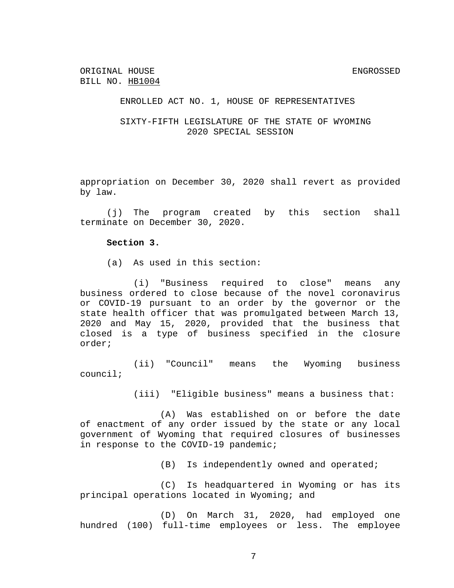# SIXTY-FIFTH LEGISLATURE OF THE STATE OF WYOMING 2020 SPECIAL SESSION

appropriation on December 30, 2020 shall revert as provided by law.

(j) The program created by this section shall terminate on December 30, 2020.

#### **Section 3.**

(a) As used in this section:

(i) "Business required to close" means any business ordered to close because of the novel coronavirus or COVID-19 pursuant to an order by the governor or the state health officer that was promulgated between March 13, 2020 and May 15, 2020, provided that the business that closed is a type of business specified in the closure order;

(ii) "Council" means the Wyoming business council;

(iii) "Eligible business" means a business that:

(A) Was established on or before the date of enactment of any order issued by the state or any local government of Wyoming that required closures of businesses in response to the COVID-19 pandemic;

(B) Is independently owned and operated;

(C) Is headquartered in Wyoming or has its principal operations located in Wyoming; and

(D) On March 31, 2020, had employed one hundred (100) full-time employees or less. The employee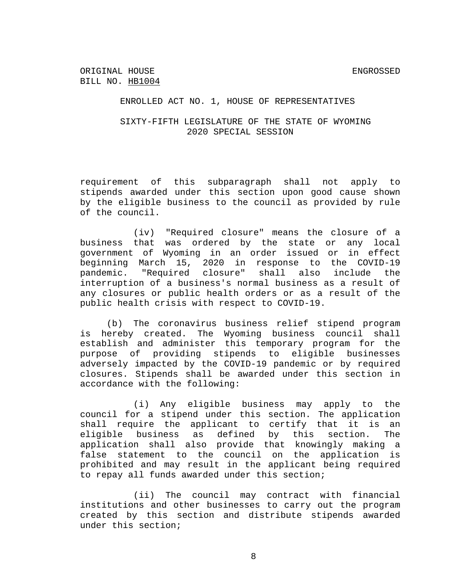# SIXTY-FIFTH LEGISLATURE OF THE STATE OF WYOMING 2020 SPECIAL SESSION

requirement of this subparagraph shall not apply to stipends awarded under this section upon good cause shown by the eligible business to the council as provided by rule of the council.

(iv) "Required closure" means the closure of a business that was ordered by the state or any local government of Wyoming in an order issued or in effect beginning March 15, 2020 in response to the COVID-19 pandemic. "Required closure" shall also include the interruption of a business's normal business as a result of any closures or public health orders or as a result of the public health crisis with respect to COVID-19.

(b) The coronavirus business relief stipend program is hereby created. The Wyoming business council shall establish and administer this temporary program for the purpose of providing stipends to eligible businesses adversely impacted by the COVID-19 pandemic or by required closures. Stipends shall be awarded under this section in accordance with the following:

(i) Any eligible business may apply to the council for a stipend under this section. The application shall require the applicant to certify that it is an eligible business as defined by this section. The application shall also provide that knowingly making a false statement to the council on the application is prohibited and may result in the applicant being required to repay all funds awarded under this section;

(ii) The council may contract with financial institutions and other businesses to carry out the program created by this section and distribute stipends awarded under this section;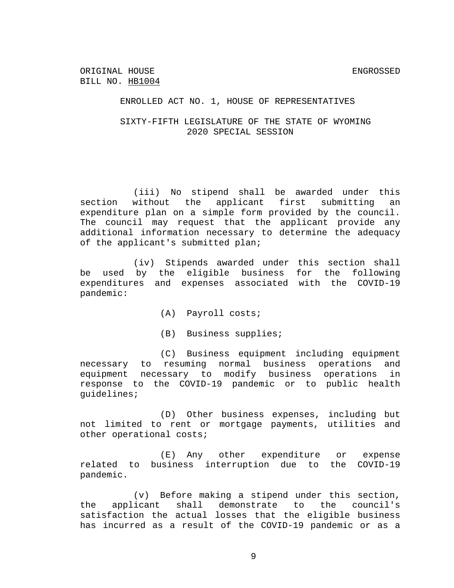ORIGINAL HOUSE SAND SERVICES AND THE SERVICES ORIGINAL HOUSE SERVICES AND THE SERVICES ORIGINAL TO A SERVICE O BILL NO. HB1004

### ENROLLED ACT NO. 1, HOUSE OF REPRESENTATIVES

# SIXTY-FIFTH LEGISLATURE OF THE STATE OF WYOMING 2020 SPECIAL SESSION

(iii) No stipend shall be awarded under this section without the applicant first submitting an expenditure plan on a simple form provided by the council. The council may request that the applicant provide any additional information necessary to determine the adequacy of the applicant's submitted plan;

(iv) Stipends awarded under this section shall be used by the eligible business for the following expenditures and expenses associated with the COVID-19 pandemic:

- (A) Payroll costs;
- (B) Business supplies;

(C) Business equipment including equipment necessary to resuming normal business operations and equipment necessary to modify business operations in response to the COVID-19 pandemic or to public health guidelines;

(D) Other business expenses, including but not limited to rent or mortgage payments, utilities and other operational costs;

(E) Any other expenditure or expense related to business interruption due to the COVID-19 pandemic.

(v) Before making a stipend under this section, the applicant shall demonstrate to the council's satisfaction the actual losses that the eligible business has incurred as a result of the COVID-19 pandemic or as a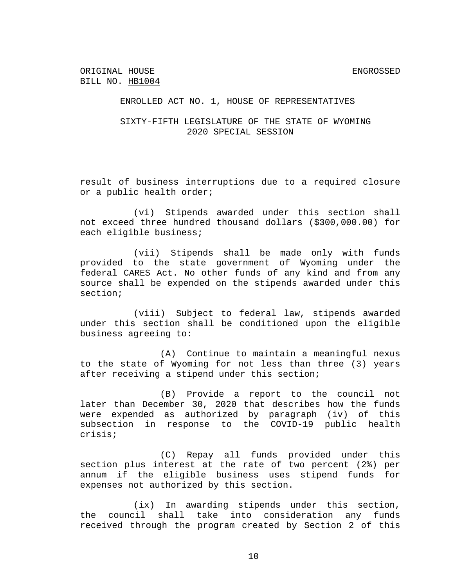#### ENROLLED ACT NO. 1, HOUSE OF REPRESENTATIVES

## SIXTY-FIFTH LEGISLATURE OF THE STATE OF WYOMING 2020 SPECIAL SESSION

result of business interruptions due to a required closure or a public health order;

(vi) Stipends awarded under this section shall not exceed three hundred thousand dollars (\$300,000.00) for each eligible business;

(vii) Stipends shall be made only with funds provided to the state government of Wyoming under the federal CARES Act. No other funds of any kind and from any source shall be expended on the stipends awarded under this section;

(viii) Subject to federal law, stipends awarded under this section shall be conditioned upon the eligible business agreeing to:

(A) Continue to maintain a meaningful nexus to the state of Wyoming for not less than three (3) years after receiving a stipend under this section;

(B) Provide a report to the council not later than December 30, 2020 that describes how the funds were expended as authorized by paragraph (iv) of this subsection in response to the COVID-19 public health crisis;

(C) Repay all funds provided under this section plus interest at the rate of two percent (2%) per annum if the eligible business uses stipend funds for expenses not authorized by this section.

(ix) In awarding stipends under this section, the council shall take into consideration any funds received through the program created by Section 2 of this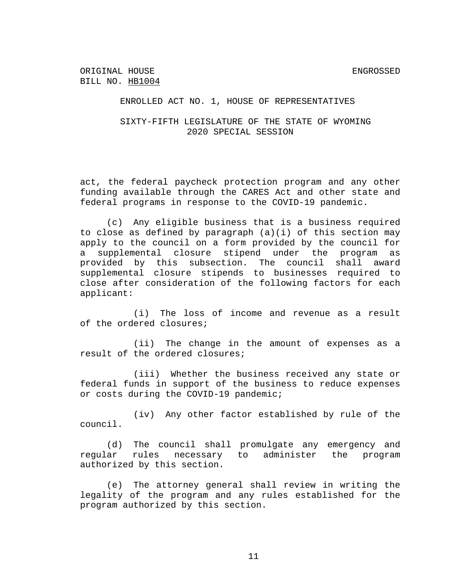#### ENROLLED ACT NO. 1, HOUSE OF REPRESENTATIVES

SIXTY-FIFTH LEGISLATURE OF THE STATE OF WYOMING 2020 SPECIAL SESSION

act, the federal paycheck protection program and any other funding available through the CARES Act and other state and federal programs in response to the COVID-19 pandemic.

(c) Any eligible business that is a business required to close as defined by paragraph (a)(i) of this section may apply to the council on a form provided by the council for a supplemental closure stipend under the program as provided by this subsection. The council shall award supplemental closure stipends to businesses required to close after consideration of the following factors for each applicant:

(i) The loss of income and revenue as a result of the ordered closures;

(ii) The change in the amount of expenses as a result of the ordered closures;

(iii) Whether the business received any state or federal funds in support of the business to reduce expenses or costs during the COVID-19 pandemic;

(iv) Any other factor established by rule of the council.

(d) The council shall promulgate any emergency and regular rules necessary to administer the program authorized by this section.

(e) The attorney general shall review in writing the legality of the program and any rules established for the program authorized by this section.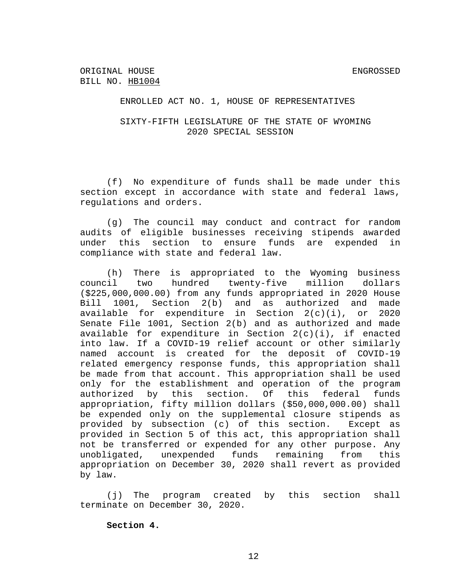#### ENROLLED ACT NO. 1, HOUSE OF REPRESENTATIVES

# SIXTY-FIFTH LEGISLATURE OF THE STATE OF WYOMING 2020 SPECIAL SESSION

(f) No expenditure of funds shall be made under this section except in accordance with state and federal laws, regulations and orders.

(g) The council may conduct and contract for random audits of eligible businesses receiving stipends awarded under this section to ensure funds are expended in compliance with state and federal law.

(h) There is appropriated to the Wyoming business council two hundred twenty-five million dollars (\$225,000,000.00) from any funds appropriated in 2020 House Bill 1001, Section 2(b) and as authorized and made available for expenditure in Section 2(c)(i), or 2020 Senate File 1001, Section 2(b) and as authorized and made available for expenditure in Section 2(c)(i), if enacted into law. If a COVID-19 relief account or other similarly named account is created for the deposit of COVID-19 related emergency response funds, this appropriation shall be made from that account. This appropriation shall be used only for the establishment and operation of the program authorized by this section. Of this federal funds appropriation, fifty million dollars (\$50,000,000.00) shall be expended only on the supplemental closure stipends as provided by subsection (c) of this section. Except as provided in Section 5 of this act, this appropriation shall not be transferred or expended for any other purpose. Any unobligated, unexpended funds remaining from this appropriation on December 30, 2020 shall revert as provided by law.

(j) The program created by this section shall terminate on December 30, 2020.

**Section 4.**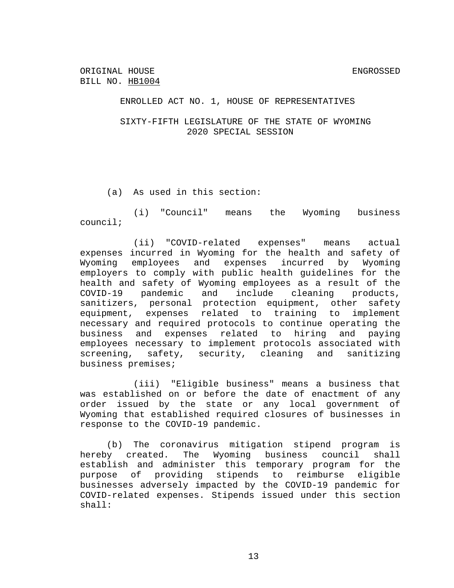#### ENROLLED ACT NO. 1, HOUSE OF REPRESENTATIVES

SIXTY-FIFTH LEGISLATURE OF THE STATE OF WYOMING 2020 SPECIAL SESSION

(a) As used in this section:

(i) "Council" means the Wyoming business council;

(ii) "COVID-related expenses" means actual expenses incurred in Wyoming for the health and safety of Wyoming employees and expenses incurred by Wyoming employers to comply with public health guidelines for the health and safety of Wyoming employees as a result of the COVID-19 pandemic and include cleaning products, sanitizers, personal protection equipment, other safety equipment, expenses related to training to implement necessary and required protocols to continue operating the business and expenses related to hiring and paying employees necessary to implement protocols associated with screening, safety, security, cleaning and sanitizing business premises;

(iii) "Eligible business" means a business that was established on or before the date of enactment of any order issued by the state or any local government of Wyoming that established required closures of businesses in response to the COVID-19 pandemic.

(b) The coronavirus mitigation stipend program is hereby created. The Wyoming business council shall establish and administer this temporary program for the purpose of providing stipends to reimburse eligible businesses adversely impacted by the COVID-19 pandemic for COVID-related expenses. Stipends issued under this section shall: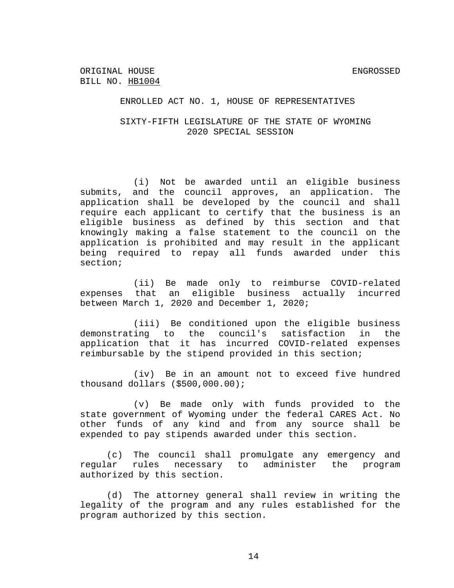ORIGINAL HOUSE SAND SENGROSSED SENGROSSED BILL NO. HB1004

ENROLLED ACT NO. 1, HOUSE OF REPRESENTATIVES

SIXTY-FIFTH LEGISLATURE OF THE STATE OF WYOMING 2020 SPECIAL SESSION

(i) Not be awarded until an eligible business submits, and the council approves, an application. The application shall be developed by the council and shall require each applicant to certify that the business is an eligible business as defined by this section and that knowingly making a false statement to the council on the application is prohibited and may result in the applicant being required to repay all funds awarded under this section;

(ii) Be made only to reimburse COVID-related expenses that an eligible business actually incurred between March 1, 2020 and December 1, 2020;

(iii) Be conditioned upon the eligible business demonstrating to the council's satisfaction in the application that it has incurred COVID-related expenses reimbursable by the stipend provided in this section;

(iv) Be in an amount not to exceed five hundred thousand dollars (\$500,000.00);

(v) Be made only with funds provided to the state government of Wyoming under the federal CARES Act. No other funds of any kind and from any source shall be expended to pay stipends awarded under this section.

(c) The council shall promulgate any emergency and regular rules necessary to administer the program authorized by this section.

(d) The attorney general shall review in writing the legality of the program and any rules established for the program authorized by this section.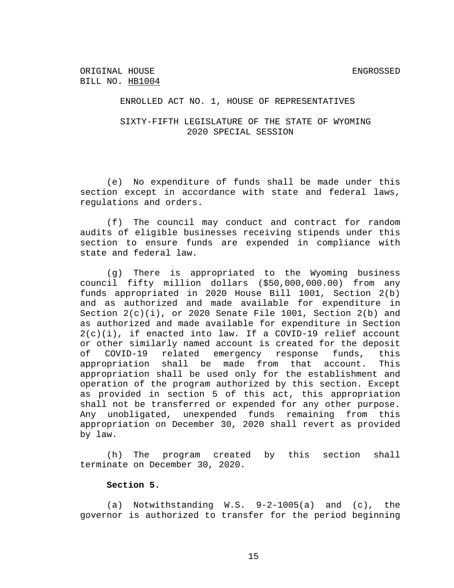# SIXTY-FIFTH LEGISLATURE OF THE STATE OF WYOMING 2020 SPECIAL SESSION

(e) No expenditure of funds shall be made under this section except in accordance with state and federal laws, regulations and orders.

(f) The council may conduct and contract for random audits of eligible businesses receiving stipends under this section to ensure funds are expended in compliance with state and federal law.

(g) There is appropriated to the Wyoming business council fifty million dollars (\$50,000,000.00) from any funds appropriated in 2020 House Bill 1001, Section 2(b) and as authorized and made available for expenditure in Section  $2(c)(i)$ , or 2020 Senate File 1001, Section  $2(b)$  and as authorized and made available for expenditure in Section  $2(c)(i)$ , if enacted into law. If a COVID-19 relief account or other similarly named account is created for the deposit of COVID-19 related emergency response funds, this appropriation shall be made from that account. This appropriation shall be used only for the establishment and operation of the program authorized by this section. Except as provided in section 5 of this act, this appropriation shall not be transferred or expended for any other purpose. Any unobligated, unexpended funds remaining from this appropriation on December 30, 2020 shall revert as provided by law.

(h) The program created by this section shall terminate on December 30, 2020.

#### **Section 5.**

(a) Notwithstanding W.S. 9-2-1005(a) and (c), the governor is authorized to transfer for the period beginning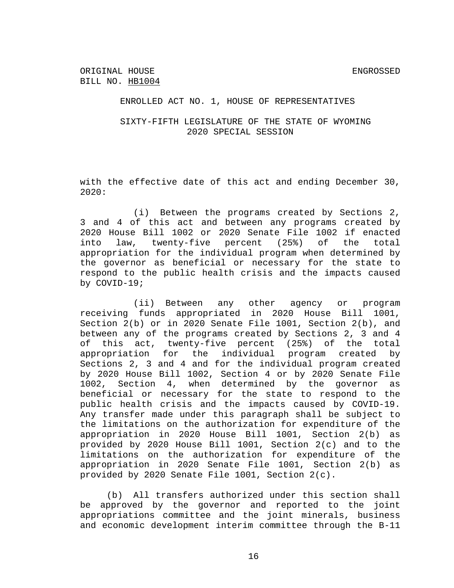# SIXTY-FIFTH LEGISLATURE OF THE STATE OF WYOMING 2020 SPECIAL SESSION

with the effective date of this act and ending December 30, 2020:

(i) Between the programs created by Sections 2, 3 and 4 of this act and between any programs created by 2020 House Bill 1002 or 2020 Senate File 1002 if enacted into law, twenty-five percent (25%) of the total appropriation for the individual program when determined by the governor as beneficial or necessary for the state to respond to the public health crisis and the impacts caused by COVID-19;

(ii) Between any other agency or program receiving funds appropriated in 2020 House Bill 1001, Section 2(b) or in 2020 Senate File 1001, Section 2(b), and between any of the programs created by Sections 2, 3 and 4 of this act, twenty-five percent (25%) of the total appropriation for the individual program created by Sections 2, 3 and 4 and for the individual program created by 2020 House Bill 1002, Section 4 or by 2020 Senate File 1002, Section 4, when determined by the governor as beneficial or necessary for the state to respond to the public health crisis and the impacts caused by COVID-19. Any transfer made under this paragraph shall be subject to the limitations on the authorization for expenditure of the appropriation in 2020 House Bill 1001, Section 2(b) as provided by 2020 House Bill 1001, Section 2(c) and to the limitations on the authorization for expenditure of the appropriation in 2020 Senate File 1001, Section 2(b) as provided by 2020 Senate File 1001, Section 2(c).

(b) All transfers authorized under this section shall be approved by the governor and reported to the joint appropriations committee and the joint minerals, business and economic development interim committee through the B-11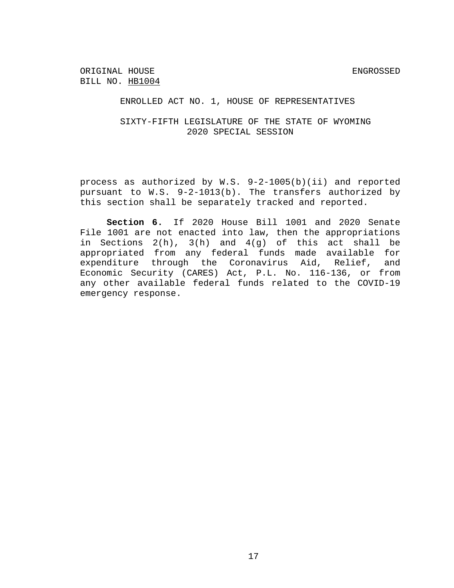ENROLLED ACT NO. 1, HOUSE OF REPRESENTATIVES

SIXTY-FIFTH LEGISLATURE OF THE STATE OF WYOMING 2020 SPECIAL SESSION

process as authorized by W.S. 9-2-1005(b)(ii) and reported pursuant to W.S. 9-2-1013(b). The transfers authorized by this section shall be separately tracked and reported.

**Section 6.** If 2020 House Bill 1001 and 2020 Senate File 1001 are not enacted into law, then the appropriations in Sections 2(h), 3(h) and 4(g) of this act shall be appropriated from any federal funds made available for expenditure through the Coronavirus Aid, Relief, and Economic Security (CARES) Act, P.L. No. 116-136, or from any other available federal funds related to the COVID-19 emergency response.